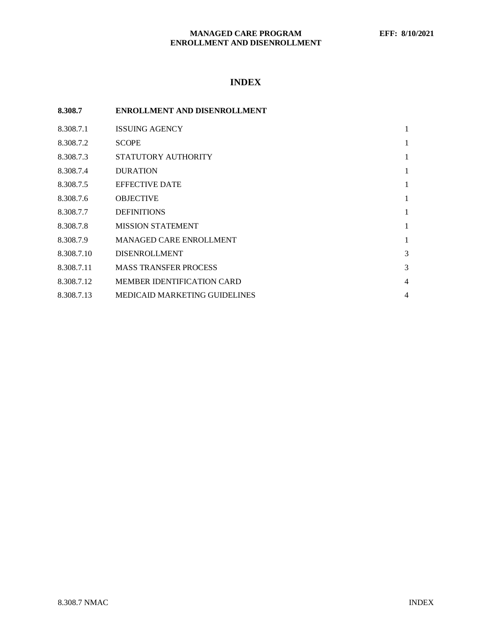# **INDEX**

| 8.308.7    | <b>ENROLLMENT AND DISENROLLMENT</b>  |                |
|------------|--------------------------------------|----------------|
| 8.308.7.1  | <b>ISSUING AGENCY</b>                | 1              |
| 8.308.7.2  | <b>SCOPE</b>                         | 1              |
| 8.308.7.3  | STATUTORY AUTHORITY                  | 1              |
| 8.308.7.4  | <b>DURATION</b>                      | 1              |
| 8.308.7.5  | <b>EFFECTIVE DATE</b>                | 1              |
| 8.308.7.6  | <b>OBJECTIVE</b>                     | 1              |
| 8.308.7.7  | <b>DEFINITIONS</b>                   | 1              |
| 8.308.7.8  | <b>MISSION STATEMENT</b>             | 1              |
| 8.308.7.9  | <b>MANAGED CARE ENROLLMENT</b>       | 1              |
| 8.308.7.10 | <b>DISENROLLMENT</b>                 | 3              |
| 8.308.7.11 | <b>MASS TRANSFER PROCESS</b>         | 3              |
| 8.308.7.12 | <b>MEMBER IDENTIFICATION CARD</b>    | $\overline{4}$ |
| 8.308.7.13 | <b>MEDICAID MARKETING GUIDELINES</b> | 4              |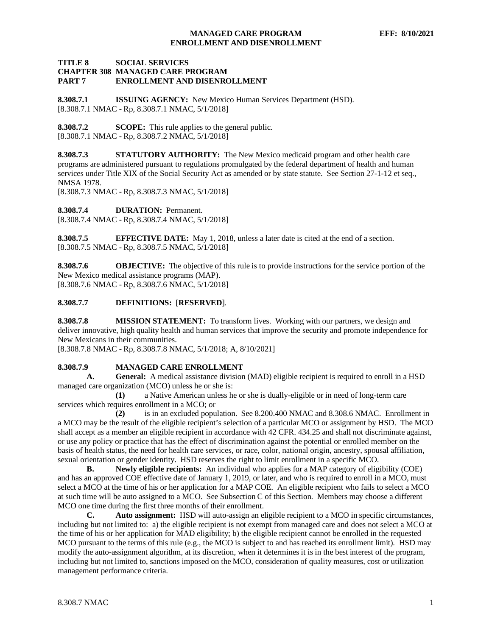# **TITLE 8 SOCIAL SERVICES CHAPTER 308 MANAGED CARE PROGRAM ENROLLMENT AND DISENROLLMENT**

<span id="page-1-0"></span>**8.308.7.1 ISSUING AGENCY:** New Mexico Human Services Department (HSD). [8.308.7.1 NMAC - Rp, 8.308.7.1 NMAC, 5/1/2018]

<span id="page-1-1"></span>**8.308.7.2 SCOPE:** This rule applies to the general public. [8.308.7.1 NMAC - Rp, 8.308.7.2 NMAC, 5/1/2018]

<span id="page-1-2"></span>**8.308.7.3 STATUTORY AUTHORITY:** The New Mexico medicaid program and other health care programs are administered pursuant to regulations promulgated by the federal department of health and human services under Title XIX of the Social Security Act as amended or by state statute. See Section 27-1-12 et seq., NMSA 1978.

[8.308.7.3 NMAC - Rp, 8.308.7.3 NMAC, 5/1/2018]

<span id="page-1-3"></span>**8.308.7.4 DURATION:** Permanent.

[8.308.7.4 NMAC - Rp, 8.308.7.4 NMAC, 5/1/2018]

<span id="page-1-4"></span>**8.308.7.5 EFFECTIVE DATE:** May 1, 2018, unless a later date is cited at the end of a section. [8.308.7.5 NMAC - Rp, 8.308.7.5 NMAC, 5/1/2018]

<span id="page-1-5"></span>**8.308.7.6 OBJECTIVE:** The objective of this rule is to provide instructions for the service portion of the New Mexico medical assistance programs (MAP). [8.308.7.6 NMAC - Rp, 8.308.7.6 NMAC, 5/1/2018]

# <span id="page-1-6"></span>**8.308.7.7 DEFINITIONS:** [**RESERVED**].

<span id="page-1-7"></span>**8.308.7.8 MISSION STATEMENT:** To transform lives. Working with our partners, we design and deliver innovative, high quality health and human services that improve the security and promote independence for New Mexicans in their communities.

[8.308.7.8 NMAC - Rp, 8.308.7.8 NMAC, 5/1/2018; A, 8/10/2021]

# <span id="page-1-8"></span>**8.308.7.9 MANAGED CARE ENROLLMENT**

**A. General:** A medical assistance division (MAD) eligible recipient is required to enroll in a HSD managed care organization (MCO) unless he or she is:

**(1)** a Native American unless he or she is dually-eligible or in need of long-term care services which requires enrollment in a MCO; or

**(2)** is in an excluded population. See 8.200.400 NMAC and 8.308.6 NMAC. Enrollment in a MCO may be the result of the eligible recipient's selection of a particular MCO or assignment by HSD. The MCO shall accept as a member an eligible recipient in accordance with 42 CFR. 434.25 and shall not discriminate against, or use any policy or practice that has the effect of discrimination against the potential or enrolled member on the basis of health status, the need for health care services, or race, color, national origin, ancestry, spousal affiliation, sexual orientation or gender identity. HSD reserves the right to limit enrollment in a specific MCO.

**B. Newly eligible recipients:** An individual who applies for a MAP category of eligibility (COE) and has an approved COE effective date of January 1, 2019, or later, and who is required to enroll in a MCO, must select a MCO at the time of his or her application for a MAP COE. An eligible recipient who fails to select a MCO at such time will be auto assigned to a MCO. See Subsection C of this Section. Members may choose a different MCO one time during the first three months of their enrollment.

**C. Auto assignment:** HSD will auto-assign an eligible recipient to a MCO in specific circumstances, including but not limited to: a) the eligible recipient is not exempt from managed care and does not select a MCO at the time of his or her application for MAD eligibility; b) the eligible recipient cannot be enrolled in the requested MCO pursuant to the terms of this rule (e.g., the MCO is subject to and has reached its enrollment limit). HSD may modify the auto-assignment algorithm, at its discretion, when it determines it is in the best interest of the program, including but not limited to, sanctions imposed on the MCO, consideration of quality measures, cost or utilization management performance criteria.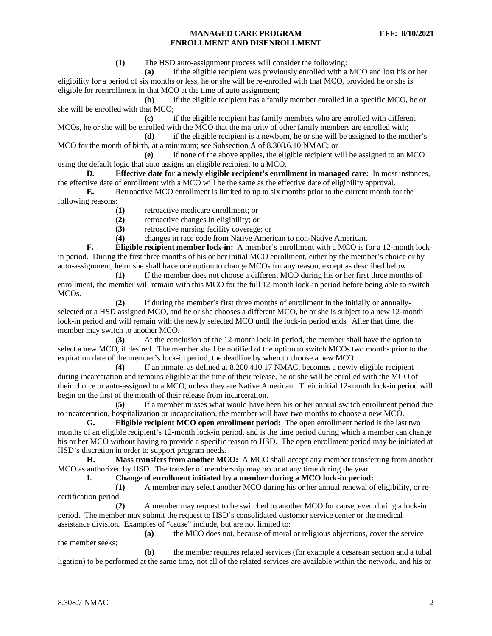**(1)** The HSD auto-assignment process will consider the following:

**(a)** if the eligible recipient was previously enrolled with a MCO and lost his or her eligibility for a period of six months or less, he or she will be re-enrolled with that MCO, provided he or she is eligible for reenrollment in that MCO at the time of auto assignment;

**(b)** if the eligible recipient has a family member enrolled in a specific MCO, he or she will be enrolled with that MCO;

**(c)** if the eligible recipient has family members who are enrolled with different MCOs, he or she will be enrolled with the MCO that the majority of other family members are enrolled with;<br>(d) if the eligible recipient is a newborn, he or she will be assigned to the mot

**(d)** if the eligible recipient is a newborn, he or she will be assigned to the mother's MCO for the month of birth, at a minimum; see Subsection A of 8.308.6.10 NMAC; or

**(e)** if none of the above applies, the eligible recipient will be assigned to an MCO using the default logic that auto assigns an eligible recipient to a MCO.

**D. Effective date for a newly eligible recipient's enrollment in managed care:** In most instances, the effective date of enrollment with a MCO will be the same as the effective date of eligibility approval.

**E.** Retroactive MCO enrollment is limited to up to six months prior to the current month for the following reasons:

- **(1)** retroactive medicare enrollment; or
- **(2)** retroactive changes in eligibility; or

**(3)** retroactive nursing facility coverage; or

**(4)** changes in race code from Native American to non-Native American.

**F. Eligible recipient member lock-in:** A member's enrollment with a MCO is for a 12-month lockin period. During the first three months of his or her initial MCO enrollment, either by the member's choice or by auto-assignment, he or she shall have one option to change MCOs for any reason, except as described below.

**(1)** If the member does not choose a different MCO during his or her first three months of enrollment, the member will remain with this MCO for the full 12-month lock-in period before being able to switch MCOs.

**(2)** If during the member's first three months of enrollment in the initially or annuallyselected or a HSD assigned MCO, and he or she chooses a different MCO, he or she is subject to a new 12-month lock-in period and will remain with the newly selected MCO until the lock-in period ends. After that time, the member may switch to another MCO.

**(3)** At the conclusion of the 12-month lock-in period, the member shall have the option to select a new MCO, if desired. The member shall be notified of the option to switch MCOs two months prior to the expiration date of the member's lock-in period, the deadline by when to choose a new MCO.

**(4)** If an inmate, as defined at 8.200.410.17 NMAC, becomes a newly eligible recipient during incarceration and remains eligible at the time of their release, he or she will be enrolled with the MCO of their choice or auto-assigned to a MCO, unless they are Native American. Their initial 12-month lock-in period will begin on the first of the month of their release from incarceration.

**(5)** If a member misses what would have been his or her annual switch enrollment period due to incarceration, hospitalization or incapacitation, the member will have two months to choose a new MCO.

**G. Eligible recipient MCO open enrollment period:** The open enrollment period is the last two months of an eligible recipient's 12-month lock-in period, and is the time period during which a member can change his or her MCO without having to provide a specific reason to HSD. The open enrollment period may be initiated at HSD's discretion in order to support program needs.

**H. Mass transfers from another MCO:** A MCO shall accept any member transferring from another MCO as authorized by HSD. The transfer of membership may occur at any time during the year.

## **I. Change of enrollment initiated by a member during a MCO lock-in period:**

**(1)** A member may select another MCO during his or her annual renewal of eligibility, or recertification period.

**(2)** A member may request to be switched to another MCO for cause, even during a lock-in period. The member may submit the request to HSD's consolidated customer service center or the medical assistance division. Examples of "cause" include, but are not limited to:

**(a)** the MCO does not, because of moral or religious objections, cover the service the member seeks;

**(b)** the member requires related services (for example a cesarean section and a tubal ligation) to be performed at the same time, not all of the related services are available within the network, and his or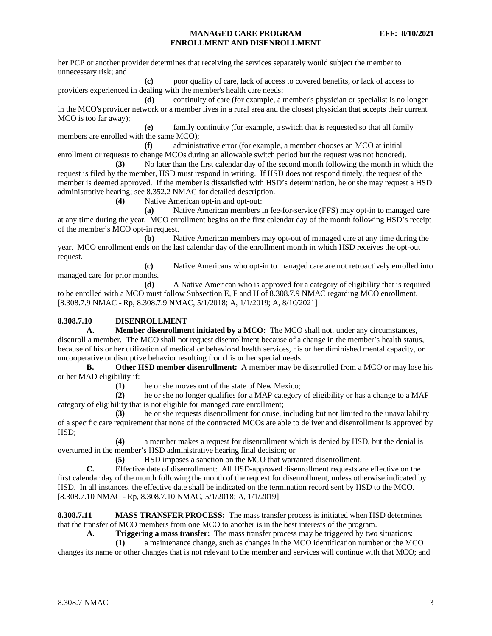her PCP or another provider determines that receiving the services separately would subject the member to unnecessary risk; and

**(c)** poor quality of care, lack of access to covered benefits, or lack of access to providers experienced in dealing with the member's health care needs;

**(d)** continuity of care (for example, a member's physician or specialist is no longer in the MCO's provider network or a member lives in a rural area and the closest physician that accepts their current MCO is too far away);

**(e)** family continuity (for example, a switch that is requested so that all family members are enrolled with the same MCO);

**(f)** administrative error (for example, a member chooses an MCO at initial enrollment or requests to change MCOs during an allowable switch period but the request was not honored).

**(3)** No later than the first calendar day of the second month following the month in which the request is filed by the member, HSD must respond in writing. If HSD does not respond timely, the request of the member is deemed approved. If the member is dissatisfied with HSD's determination, he or she may request a HSD administrative hearing; see 8.352.2 NMAC for detailed description.

**(4)** Native American opt-in and opt-out:

**(a)** Native American members in fee-for-service (FFS) may opt-in to managed care at any time during the year. MCO enrollment begins on the first calendar day of the month following HSD's receipt of the member's MCO opt-in request.

**(b)** Native American members may opt-out of managed care at any time during the year. MCO enrollment ends on the last calendar day of the enrollment month in which HSD receives the opt-out request.

**(c)** Native Americans who opt-in to managed care are not retroactively enrolled into managed care for prior months.

**(d)** A Native American who is approved for a category of eligibility that is required to be enrolled with a MCO must follow Subsection E, F and H of 8.308.7.9 NMAC regarding MCO enrollment. [8.308.7.9 NMAC - Rp, 8.308.7.9 NMAC, 5/1/2018; A, 1/1/2019; A, 8/10/2021]

## <span id="page-3-0"></span>**8.308.7.10 DISENROLLMENT**

**A. Member disenrollment initiated by a MCO:** The MCO shall not, under any circumstances, disenroll a member. The MCO shall not request disenrollment because of a change in the member's health status, because of his or her utilization of medical or behavioral health services, his or her diminished mental capacity, or uncooperative or disruptive behavior resulting from his or her special needs.

**B. Other HSD member disenrollment:** A member may be disenrolled from a MCO or may lose his or her MAD eligibility if:

**(1)** he or she moves out of the state of New Mexico;

**(2)** he or she no longer qualifies for a MAP category of eligibility or has a change to a MAP category of eligibility that is not eligible for managed care enrollment;

**(3)** he or she requests disenrollment for cause, including but not limited to the unavailability of a specific care requirement that none of the contracted MCOs are able to deliver and disenrollment is approved by HSD;

**(4)** a member makes a request for disenrollment which is denied by HSD, but the denial is overturned in the member's HSD administrative hearing final decision; or

**(5)** HSD imposes a sanction on the MCO that warranted disenrollment.

**C.** Effective date of disenrollment: All HSD-approved disenrollment requests are effective on the first calendar day of the month following the month of the request for disenrollment, unless otherwise indicated by HSD. In all instances, the effective date shall be indicated on the termination record sent by HSD to the MCO. [8.308.7.10 NMAC - Rp, 8.308.7.10 NMAC, 5/1/2018; A, 1/1/2019]

<span id="page-3-1"></span>**8.308.7.11 MASS TRANSFER PROCESS:** The mass transfer process is initiated when HSD determines that the transfer of MCO members from one MCO to another is in the best interests of the program.

**A. Triggering a mass transfer:** The mass transfer process may be triggered by two situations:

**(1)** a maintenance change, such as changes in the MCO identification number or the MCO changes its name or other changes that is not relevant to the member and services will continue with that MCO; and